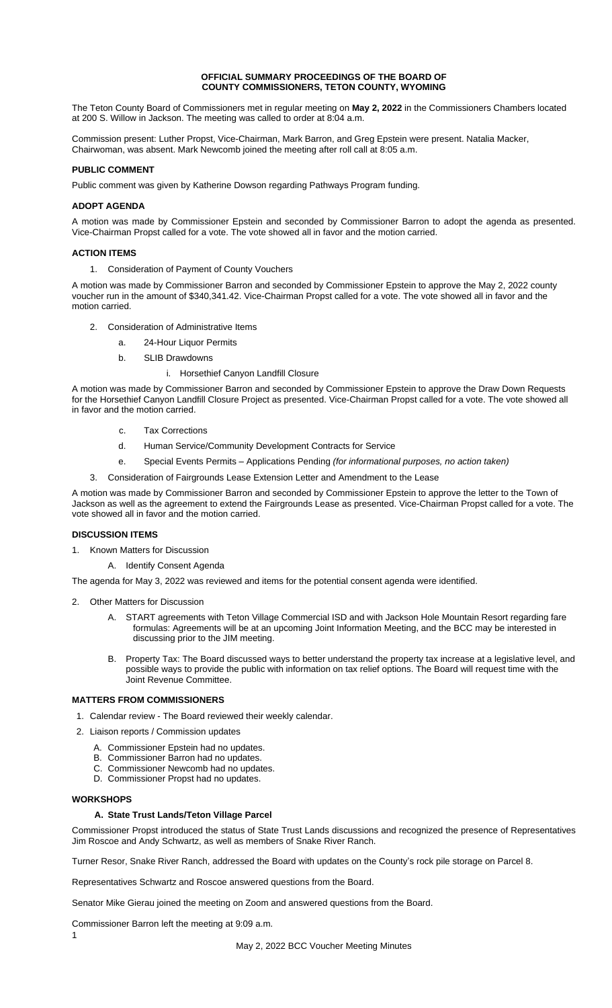### **OFFICIAL SUMMARY PROCEEDINGS OF THE BOARD OF COUNTY COMMISSIONERS, TETON COUNTY, WYOMING**

The Teton County Board of Commissioners met in regular meeting on **May 2, 2022** in the Commissioners Chambers located at 200 S. Willow in Jackson. The meeting was called to order at 8:04 a.m.

Commission present: Luther Propst, Vice-Chairman, Mark Barron, and Greg Epstein were present. Natalia Macker, Chairwoman, was absent. Mark Newcomb joined the meeting after roll call at 8:05 a.m.

# **PUBLIC COMMENT**

Public comment was given by Katherine Dowson regarding Pathways Program funding.

## **ADOPT AGENDA**

A motion was made by Commissioner Epstein and seconded by Commissioner Barron to adopt the agenda as presented. Vice-Chairman Propst called for a vote. The vote showed all in favor and the motion carried.

### **ACTION ITEMS**

1. Consideration of Payment of County Vouchers

A motion was made by Commissioner Barron and seconded by Commissioner Epstein to approve the May 2, 2022 county voucher run in the amount of \$340,341.42. Vice-Chairman Propst called for a vote. The vote showed all in favor and the motion carried.

- 2. Consideration of Administrative Items
	- a. 24-Hour Liquor Permits
	- b. SLIB Drawdowns
		- i. Horsethief Canyon Landfill Closure

A motion was made by Commissioner Barron and seconded by Commissioner Epstein to approve the Draw Down Requests for the Horsethief Canyon Landfill Closure Project as presented. Vice-Chairman Propst called for a vote. The vote showed all in favor and the motion carried.

- c. Tax Corrections
- d. Human Service/Community Development Contracts for Service
- e. Special Events Permits Applications Pending *(for informational purposes, no action taken)*
- 3. Consideration of Fairgrounds Lease Extension Letter and Amendment to the Lease

A motion was made by Commissioner Barron and seconded by Commissioner Epstein to approve the letter to the Town of Jackson as well as the agreement to extend the Fairgrounds Lease as presented. Vice-Chairman Propst called for a vote. The vote showed all in favor and the motion carried.

### **DISCUSSION ITEMS**

- 1. Known Matters for Discussion
	- A. Identify Consent Agenda

The agenda for May 3, 2022 was reviewed and items for the potential consent agenda were identified.

- 2. Other Matters for Discussion
	- A. START agreements with Teton Village Commercial ISD and with Jackson Hole Mountain Resort regarding fare formulas: Agreements will be at an upcoming Joint Information Meeting, and the BCC may be interested in discussing prior to the JIM meeting.
	- B. Property Tax: The Board discussed ways to better understand the property tax increase at a legislative level, and possible ways to provide the public with information on tax relief options. The Board will request time with the Joint Revenue Committee.

#### **MATTERS FROM COMMISSIONERS**

- 1. Calendar review The Board reviewed their weekly calendar.
- 2. Liaison reports / Commission updates
	- A. Commissioner Epstein had no updates.
	- B. Commissioner Barron had no updates.
	- C. Commissioner Newcomb had no updates.
	- D. Commissioner Propst had no updates.

#### **WORKSHOPS**

### **A. State Trust Lands/Teton Village Parcel**

Commissioner Propst introduced the status of State Trust Lands discussions and recognized the presence of Representatives Jim Roscoe and Andy Schwartz, as well as members of Snake River Ranch.

Turner Resor, Snake River Ranch, addressed the Board with updates on the County's rock pile storage on Parcel 8.

Representatives Schwartz and Roscoe answered questions from the Board.

Senator Mike Gierau joined the meeting on Zoom and answered questions from the Board.

Commissioner Barron left the meeting at 9:09 a.m.

1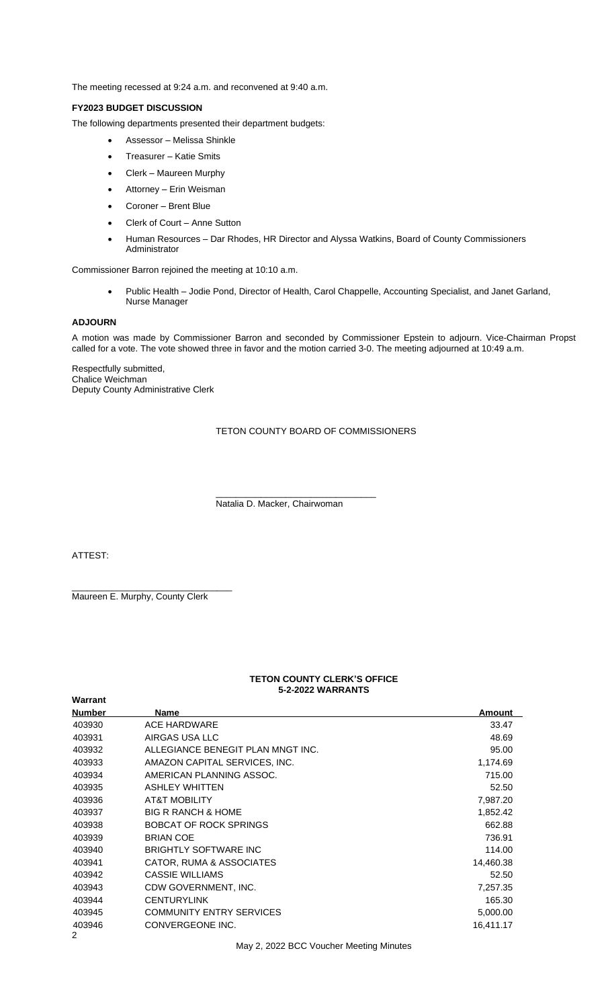The meeting recessed at 9:24 a.m. and reconvened at 9:40 a.m.

# **FY2023 BUDGET DISCUSSION**

The following departments presented their department budgets:

- Assessor Melissa Shinkle
- Treasurer Katie Smits
- Clerk Maureen Murphy
- Attorney Erin Weisman
- Coroner Brent Blue
- Clerk of Court Anne Sutton
- Human Resources Dar Rhodes, HR Director and Alyssa Watkins, Board of County Commissioners Administrator

Commissioner Barron rejoined the meeting at 10:10 a.m.

 Public Health – Jodie Pond, Director of Health, Carol Chappelle, Accounting Specialist, and Janet Garland, Nurse Manager

### **ADJOURN**

A motion was made by Commissioner Barron and seconded by Commissioner Epstein to adjourn. Vice-Chairman Propst called for a vote. The vote showed three in favor and the motion carried 3-0. The meeting adjourned at 10:49 a.m.

Respectfully submitted, Chalice Weichman Deputy County Administrative Clerk

#### TETON COUNTY BOARD OF COMMISSIONERS

Natalia D. Macker, Chairwoman

\_\_\_\_\_\_\_\_\_\_\_\_\_\_\_\_\_\_\_\_\_\_\_\_\_\_\_\_\_\_\_\_

ATTEST:

Maureen E. Murphy, County Clerk

\_\_\_\_\_\_\_\_\_\_\_\_\_\_\_\_\_\_\_\_\_\_\_\_\_\_\_\_\_\_\_\_

## **TETON COUNTY CLERK'S OFFICE 5-2-2022 WARRANTS**

| Warrant                  |                                   |               |  |  |
|--------------------------|-----------------------------------|---------------|--|--|
| <b>Number</b>            | Name                              | <b>Amount</b> |  |  |
| 403930                   | <b>ACE HARDWARE</b>               | 33.47         |  |  |
| 403931                   | AIRGAS USA LLC                    | 48.69         |  |  |
| 403932                   | ALLEGIANCE BENEGIT PLAN MNGT INC. | 95.00         |  |  |
| 403933                   | AMAZON CAPITAL SERVICES, INC.     | 1,174.69      |  |  |
| 403934                   | AMERICAN PLANNING ASSOC.          | 715.00        |  |  |
| 403935                   | <b>ASHLEY WHITTEN</b>             | 52.50         |  |  |
| 403936                   | <b>AT&amp;T MOBILITY</b>          | 7,987.20      |  |  |
| 403937                   | <b>BIG R RANCH &amp; HOME</b>     | 1,852.42      |  |  |
| 403938                   | <b>BOBCAT OF ROCK SPRINGS</b>     | 662.88        |  |  |
| 403939                   | <b>BRIAN COE</b>                  | 736.91        |  |  |
| 403940                   | <b>BRIGHTLY SOFTWARE INC</b>      | 114.00        |  |  |
| 403941                   | CATOR, RUMA & ASSOCIATES          | 14,460.38     |  |  |
| 403942                   | <b>CASSIE WILLIAMS</b>            | 52.50         |  |  |
| 403943                   | CDW GOVERNMENT, INC.              | 7,257.35      |  |  |
| 403944                   | <b>CENTURYLINK</b>                | 165.30        |  |  |
| 403945                   | <b>COMMUNITY ENTRY SERVICES</b>   | 5,000.00      |  |  |
| 403946<br>$\overline{2}$ | CONVERGEONE INC.                  | 16,411.17     |  |  |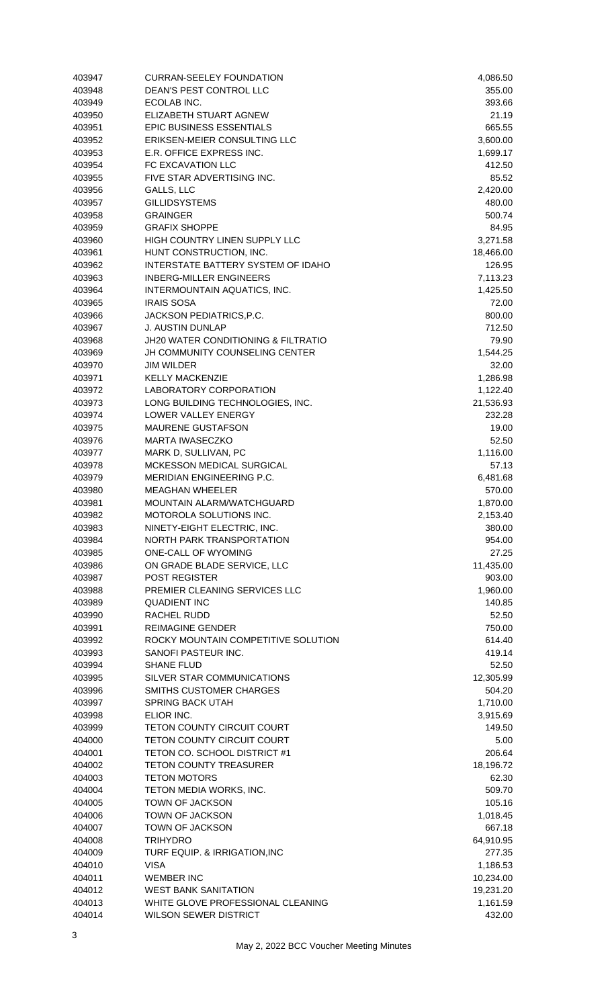| 403947 | <b>CURRAN-SEELEY FOUNDATION</b>     | 4,086.50  |
|--------|-------------------------------------|-----------|
| 403948 | DEAN'S PEST CONTROL LLC             | 355.00    |
| 403949 | ECOLAB INC.                         | 393.66    |
| 403950 | ELIZABETH STUART AGNEW              | 21.19     |
| 403951 | <b>EPIC BUSINESS ESSENTIALS</b>     | 665.55    |
| 403952 | ERIKSEN-MEIER CONSULTING LLC        | 3,600.00  |
| 403953 | E.R. OFFICE EXPRESS INC.            | 1,699.17  |
| 403954 | FC EXCAVATION LLC                   | 412.50    |
| 403955 | FIVE STAR ADVERTISING INC.          | 85.52     |
| 403956 | GALLS, LLC                          | 2,420.00  |
| 403957 | <b>GILLIDSYSTEMS</b>                | 480.00    |
| 403958 | <b>GRAINGER</b>                     | 500.74    |
|        |                                     |           |
| 403959 | <b>GRAFIX SHOPPE</b>                | 84.95     |
| 403960 | HIGH COUNTRY LINEN SUPPLY LLC       | 3,271.58  |
| 403961 | HUNT CONSTRUCTION, INC.             | 18,466.00 |
| 403962 | INTERSTATE BATTERY SYSTEM OF IDAHO  | 126.95    |
| 403963 | <b>INBERG-MILLER ENGINEERS</b>      | 7,113.23  |
| 403964 | INTERMOUNTAIN AQUATICS, INC.        | 1,425.50  |
| 403965 | <b>IRAIS SOSA</b>                   | 72.00     |
| 403966 | JACKSON PEDIATRICS, P.C.            | 800.00    |
| 403967 | <b>J. AUSTIN DUNLAP</b>             | 712.50    |
| 403968 | JH20 WATER CONDITIONING & FILTRATIO | 79.90     |
| 403969 | JH COMMUNITY COUNSELING CENTER      | 1,544.25  |
| 403970 | <b>JIM WILDER</b>                   | 32.00     |
| 403971 | <b>KELLY MACKENZIE</b>              | 1,286.98  |
| 403972 | LABORATORY CORPORATION              | 1,122.40  |
| 403973 | LONG BUILDING TECHNOLOGIES, INC.    | 21,536.93 |
| 403974 | LOWER VALLEY ENERGY                 | 232.28    |
|        | <b>MAURENE GUSTAFSON</b>            | 19.00     |
| 403975 |                                     |           |
| 403976 | <b>MARTA IWASECZKO</b>              | 52.50     |
| 403977 | MARK D, SULLIVAN, PC                | 1,116.00  |
| 403978 | MCKESSON MEDICAL SURGICAL           | 57.13     |
| 403979 | MERIDIAN ENGINEERING P.C.           | 6,481.68  |
| 403980 | <b>MEAGHAN WHEELER</b>              | 570.00    |
| 403981 | MOUNTAIN ALARM/WATCHGUARD           | 1,870.00  |
| 403982 | MOTOROLA SOLUTIONS INC.             | 2,153.40  |
| 403983 | NINETY-EIGHT ELECTRIC, INC.         | 380.00    |
| 403984 | NORTH PARK TRANSPORTATION           | 954.00    |
| 403985 | <b>ONE-CALL OF WYOMING</b>          | 27.25     |
| 403986 | ON GRADE BLADE SERVICE, LLC         | 11,435.00 |
| 403987 | <b>POST REGISTER</b>                | 903.00    |
| 403988 | PREMIER CLEANING SERVICES LLC       | 1,960.00  |
| 403989 | <b>QUADIENT INC</b>                 | 140.85    |
| 403990 | <b>RACHEL RUDD</b>                  | 52.50     |
| 403991 | <b>REIMAGINE GENDER</b>             | 750.00    |
| 403992 | ROCKY MOUNTAIN COMPETITIVE SOLUTION | 614.40    |
| 403993 | SANOFI PASTEUR INC.                 | 419.14    |
|        | <b>SHANE FLUD</b>                   | 52.50     |
| 403994 | SILVER STAR COMMUNICATIONS          |           |
| 403995 |                                     | 12,305.99 |
| 403996 | SMITHS CUSTOMER CHARGES             | 504.20    |
| 403997 | <b>SPRING BACK UTAH</b>             | 1,710.00  |
| 403998 | ELIOR INC.                          | 3,915.69  |
| 403999 | <b>TETON COUNTY CIRCUIT COURT</b>   | 149.50    |
| 404000 | <b>TETON COUNTY CIRCUIT COURT</b>   | 5.00      |
| 404001 | TETON CO. SCHOOL DISTRICT #1        | 206.64    |
| 404002 | <b>TETON COUNTY TREASURER</b>       | 18,196.72 |
| 404003 | <b>TETON MOTORS</b>                 | 62.30     |
| 404004 | TETON MEDIA WORKS, INC.             | 509.70    |
| 404005 | TOWN OF JACKSON                     | 105.16    |
| 404006 | TOWN OF JACKSON                     | 1,018.45  |
| 404007 | TOWN OF JACKSON                     | 667.18    |
| 404008 | <b>TRIHYDRO</b>                     | 64,910.95 |
| 404009 | TURF EQUIP. & IRRIGATION, INC       | 277.35    |
| 404010 | <b>VISA</b>                         | 1,186.53  |
| 404011 | <b>WEMBER INC</b>                   | 10,234.00 |
|        | <b>WEST BANK SANITATION</b>         |           |
| 404012 |                                     | 19,231.20 |
| 404013 | WHITE GLOVE PROFESSIONAL CLEANING   | 1,161.59  |
| 404014 | <b>WILSON SEWER DISTRICT</b>        | 432.00    |